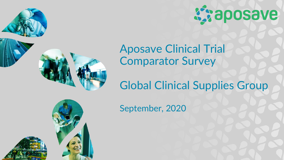



# Aposave Clinical Trial Comparator Survey

# Global Clinical Supplies Group

September, 2020

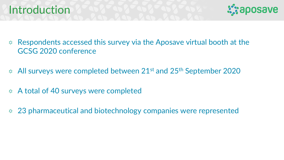### Introduction



- Respondents accessed this survey via the Aposave virtual booth at the  $\sum_{i=1}^{n} \frac{1}{i}$ GCSG 2020 conference
- All surveys were completed between 21<sup>st</sup> and 25<sup>th</sup> September 2020
- A total of 40 surveys were completed  $\sum_{i=1}^{n}$
- 23 pharmaceutical and biotechnology companies were represented  $\mathcal{L}^{\bullet}_{\mathcal{A}}$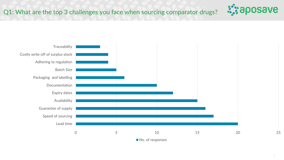

**Aziaposave**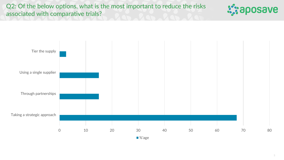Q2: Of the below options, what is the most important to reduce the risks associated with comparative trials?



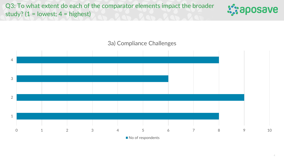

#### 3a) Compliance Challenges



No of respondents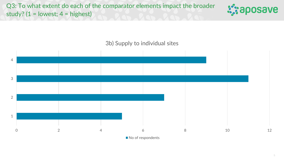

#### 3b) Supply to individual sites



No of respondents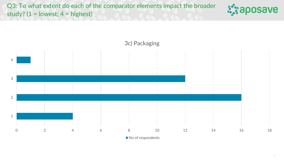



No of respondents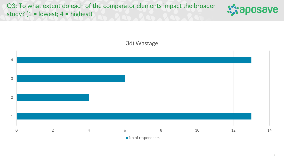



3d) Wastage

7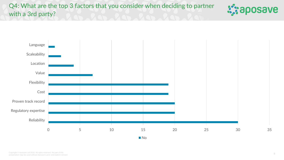Q4: What are the top 3 factors that you consider when deciding to partner with a 3rd party?



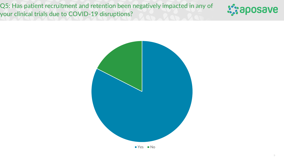Q5: Has patient recruitment and retention been negatively impacted in any of your clinical trials due to COVID-19 disruptions?





 $Yes$  No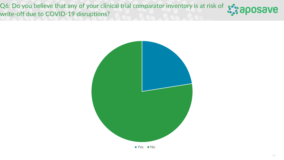Q6: Do you believe that any of your clinical trial comparator inventory is at risk of  $\sqrt{3}$  aposave write-off due to COVID-19 disruptions?



 $Yes$  No